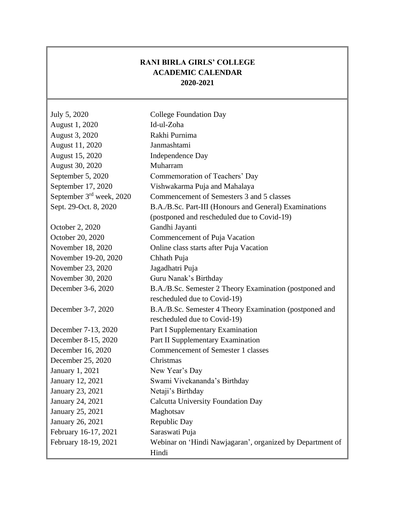## **RANI BIRLA GIRLS' COLLEGE ACADEMIC CALENDAR 2020-2021**

| July 5, 2020             | <b>College Foundation Day</b>                             |
|--------------------------|-----------------------------------------------------------|
| August 1, 2020           | Id-ul-Zoha                                                |
| August 3, 2020           | Rakhi Purnima                                             |
| August 11, 2020          | Janmashtami                                               |
| August 15, 2020          | Independence Day                                          |
| August 30, 2020          | Muharram                                                  |
| September 5, 2020        | Commemoration of Teachers' Day                            |
| September 17, 2020       | Vishwakarma Puja and Mahalaya                             |
| September 3rd week, 2020 | Commencement of Semesters 3 and 5 classes                 |
| Sept. 29-Oct. 8, 2020    | B.A./B.Sc. Part-III (Honours and General) Examinations    |
|                          | (postponed and rescheduled due to Covid-19)               |
| October 2, 2020          | Gandhi Jayanti                                            |
| October 20, 2020         | Commencement of Puja Vacation                             |
| November 18, 2020        | Online class starts after Puja Vacation                   |
| November 19-20, 2020     | Chhath Puja                                               |
| November 23, 2020        | Jagadhatri Puja                                           |
| November 30, 2020        | Guru Nanak's Birthday                                     |
| December 3-6, 2020       | B.A./B.Sc. Semester 2 Theory Examination (postponed and   |
|                          | rescheduled due to Covid-19)                              |
| December 3-7, 2020       | B.A./B.Sc. Semester 4 Theory Examination (postponed and   |
|                          | rescheduled due to Covid-19)                              |
| December 7-13, 2020      | Part I Supplementary Examination                          |
| December 8-15, 2020      | Part II Supplementary Examination                         |
| December 16, 2020        | <b>Commencement of Semester 1 classes</b>                 |
| December 25, 2020        | Christmas                                                 |
| January 1, 2021          | New Year's Day                                            |
| January 12, 2021         | Swami Vivekananda's Birthday                              |
| January 23, 2021         | Netaji's Birthday                                         |
| January 24, 2021         | <b>Calcutta University Foundation Day</b>                 |
| January 25, 2021         | Maghotsav                                                 |
| January 26, 2021         | Republic Day                                              |
| February 16-17, 2021     | Saraswati Puja                                            |
| February 18-19, 2021     | Webinar on 'Hindi Nawjagaran', organized by Department of |
|                          | Hindi                                                     |